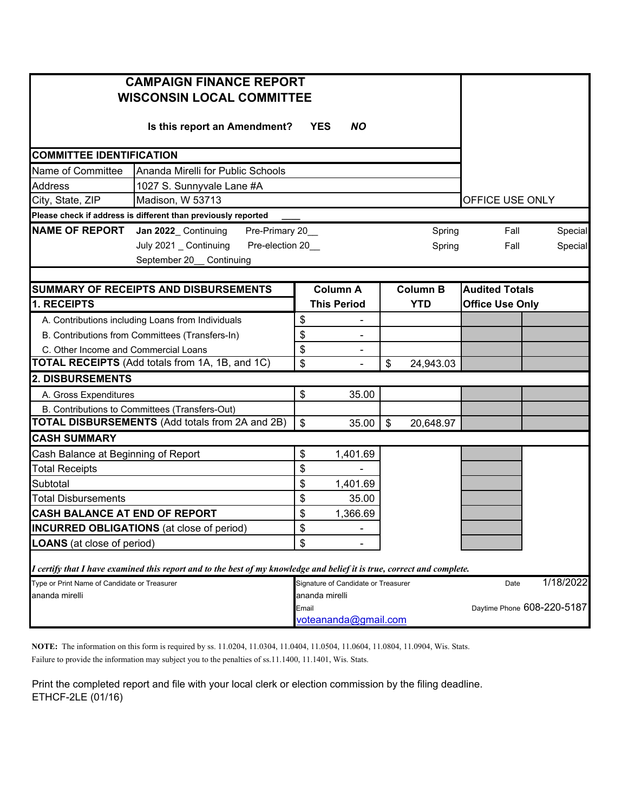| <b>CAMPAIGN FINANCE REPORT</b><br><b>WISCONSIN LOCAL COMMITTEE</b>                                                      |                                   |                               |                                     |                 |            |                            |         |
|-------------------------------------------------------------------------------------------------------------------------|-----------------------------------|-------------------------------|-------------------------------------|-----------------|------------|----------------------------|---------|
|                                                                                                                         | Is this report an Amendment?      | <b>YES</b>                    | <b>NO</b>                           |                 |            |                            |         |
| <b>COMMITTEE IDENTIFICATION</b>                                                                                         |                                   |                               |                                     |                 |            |                            |         |
| Name of Committee                                                                                                       | Ananda Mirelli for Public Schools |                               |                                     |                 |            |                            |         |
| <b>Address</b><br>1027 S. Sunnyvale Lane #A                                                                             |                                   |                               |                                     |                 |            |                            |         |
| Madison, W 53713<br>City, State, ZIP                                                                                    |                                   |                               |                                     |                 |            | OFFICE USE ONLY            |         |
| Please check if address is different than previously reported                                                           |                                   |                               |                                     |                 |            |                            |         |
| <b>NAME OF REPORT</b><br>Jan 2022_ Continuing                                                                           | Pre-Primary 20_                   |                               |                                     |                 | Spring     | Fall                       | Special |
| July 2021 _ Continuing<br>September 20_ Continuing                                                                      | Pre-election 20_                  |                               |                                     |                 | Spring     | Fall                       | Special |
|                                                                                                                         |                                   |                               |                                     |                 |            | <b>Audited Totals</b>      |         |
| SUMMARY OF RECEIPTS AND DISBURSEMENTS<br>1. RECEIPTS                                                                    |                                   | <b>Column A</b>               |                                     | <b>Column B</b> |            |                            |         |
|                                                                                                                         |                                   |                               | <b>This Period</b>                  |                 | <b>YTD</b> | <b>Office Use Only</b>     |         |
| A. Contributions including Loans from Individuals                                                                       |                                   | \$                            |                                     |                 |            |                            |         |
| B. Contributions from Committees (Transfers-In)                                                                         |                                   | \$                            |                                     |                 |            |                            |         |
| C. Other Income and Commercial Loans<br><b>TOTAL RECEIPTS</b> (Add totals from 1A, 1B, and 1C)                          |                                   | \$<br>\$                      |                                     | \$              | 24,943.03  |                            |         |
| 2. DISBURSEMENTS                                                                                                        |                                   |                               |                                     |                 |            |                            |         |
| A. Gross Expenditures                                                                                                   |                                   | \$                            | 35.00                               |                 |            |                            |         |
| B. Contributions to Committees (Transfers-Out)                                                                          |                                   |                               |                                     |                 |            |                            |         |
| <b>TOTAL DISBURSEMENTS</b> (Add totals from 2A and 2B)                                                                  |                                   | $\boldsymbol{\mathsf{S}}$     | 35.00                               | $\sqrt[6]{2}$   | 20,648.97  |                            |         |
| <b>CASH SUMMARY</b>                                                                                                     |                                   |                               |                                     |                 |            |                            |         |
| Cash Balance at Beginning of Report                                                                                     |                                   | \$                            | 1,401.69                            |                 |            |                            |         |
| <b>Total Receipts</b>                                                                                                   |                                   | \$                            |                                     |                 |            |                            |         |
| Subtotal                                                                                                                |                                   | \$                            | 1,401.69                            |                 |            |                            |         |
| <b>Total Disbursements</b>                                                                                              |                                   | \$                            | 35.00                               |                 |            |                            |         |
| <b>CASH BALANCE AT END OF REPORT</b>                                                                                    |                                   |                               | 1,366.69                            |                 |            |                            |         |
| <b>INCURRED OBLIGATIONS</b> (at close of period)                                                                        |                                   |                               |                                     |                 |            |                            |         |
| <b>LOANS</b> (at close of period)                                                                                       |                                   |                               |                                     |                 |            |                            |         |
| I certify that I have examined this report and to the best of my knowledge and belief it is true, correct and complete. |                                   |                               |                                     |                 |            |                            |         |
| Type or Print Name of Candidate or Treasurer                                                                            |                                   |                               | Signature of Candidate or Treasurer |                 | Date       | 1/18/2022                  |         |
| ananda mirelli                                                                                                          |                                   | ananda mirelli                |                                     |                 |            |                            |         |
|                                                                                                                         |                                   | Email<br>voteananda@gmail.com |                                     |                 |            | Daytime Phone 608-220-5187 |         |
|                                                                                                                         |                                   |                               |                                     |                 |            |                            |         |

**NOTE:** The information on this form is required by ss. 11.0204, 11.0304, 11.0404, 11.0504, 11.0604, 11.0804, 11.0904, Wis. Stats.

Failure to provide the information may subject you to the penalties of ss.11.1400, 11.1401, Wis. Stats.

Print the completed report and file with your local clerk or election commission by the filing deadline. ETHCF-2LE (01/16)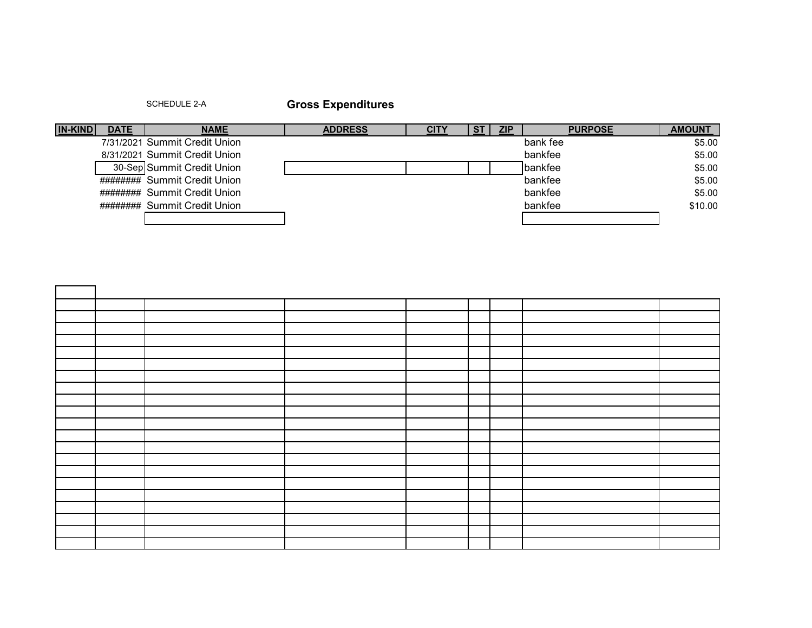SCHEDULE 2-A **Gross Expenditures**

| <b>IN-KIND</b> | <b>DATE</b> | <b>NAME</b>                   | <b>ADDRESS</b> | CITY | <b>ZIP</b> | <b>PURPOSE</b> | <b>AMOUNT</b> |
|----------------|-------------|-------------------------------|----------------|------|------------|----------------|---------------|
|                |             | 7/31/2021 Summit Credit Union |                |      |            | bank fee       | \$5.00        |
|                |             | 8/31/2021 Summit Credit Union |                |      |            | bankfee        | \$5.00        |
|                |             | 30-Sep Summit Credit Union    |                |      |            | bankfee        | \$5.00        |
|                |             | ######## Summit Credit Union  |                |      |            | bankfee        | \$5.00        |
|                |             | ######## Summit Credit Union  |                |      |            | bankfee        | \$5.00        |
|                |             | ######## Summit Credit Union  |                |      |            | bankfee        | \$10.00       |
|                |             |                               |                |      |            |                |               |